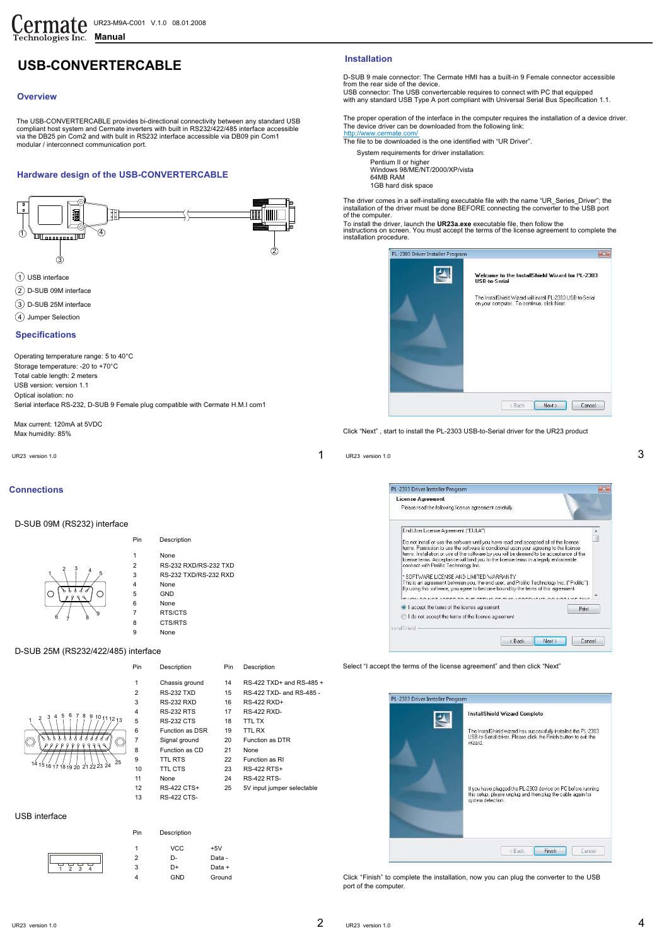# **USB-CONVERTERCABLE**

### **Overview**

The USB-CONVERTERCABLE provides bi-directional connectivity between any standard USB compliant host system and Cermate inverters with built in RS232/422/485 interface accessible via the DB25 pin Com2 and with bulit in RS232 interface accessible via DB09 pin Com1 modular / interconnect communication port.

### **Hardware design of the USB-CONVERTERCABLE**



- 
- (4) Jumper Selection

### **Specifications**

Operating temperature range: 5 to 40°C Storage temperature: -20 to +70°C Total cable length: 2 meters USB version: version 1.1 Optical isolation: no Serial interface RS-232, D-SUB 9 Female plug compatible with Cermate H.M.I com1

Max current: 120mA at 5VDC Max humidity: 85%

### **Connections**

1

D-SUB 09M (RS232) interface

Pin 1 2 3 4 5 6 7 8  $\begin{array}{cc} 2 & 3 \\ 1 & 7 \end{array}$  5 None RS-232 RXD/RS-232 TXD RS-232 TXD/RS-232 RXD None **GND** None RTS/CTS CTS/RTS Description

None

Pin Description

9

## D-SUB 25M (RS232/422/485) interface

<sup>6</sup> <sup>7</sup> <sup>8</sup> <sup>9</sup>



| 1              | Chassis ground         | 14 | RS-422 TXD+ and RS-485 +   |
|----------------|------------------------|----|----------------------------|
| $\overline{2}$ | <b>RS-232 TXD</b>      | 15 | RS-422 TXD- and RS-485 -   |
| 3              | <b>RS-232 RXD</b>      | 16 | RS-422 RXD+                |
| $\overline{4}$ | <b>RS-232 RTS</b>      | 17 | <b>RS-422 RXD-</b>         |
| 5              | <b>RS-232 CTS</b>      | 18 | <b>TTL TX</b>              |
| 6              | <b>Function as DSR</b> | 19 | <b>TTL RX</b>              |
| $\overline{7}$ | Signal ground          | 20 | <b>Function as DTR</b>     |
| 8              | Function as CD         | 21 | None                       |
| 9              | <b>TTL RTS</b>         | 22 | Function as RI             |
| 10             | TTL CTS                | 23 | RS-422 RTS+                |
| 11             | None                   | 24 | <b>RS-422 RTS-</b>         |
| 12             | RS-422 CTS+            | 25 | 5V input jumper selectable |
| 13             | <b>RS-422 CTS-</b>     |    |                            |

 $VCC$   $+5V$ D- Data -D+ Data + GND Ground

| 2              | RS-232 TXD             | 15 | RS-422 TXD- and RS-485     |
|----------------|------------------------|----|----------------------------|
| 3              | <b>RS-232 RXD</b>      | 16 | RS-422 RXD+                |
| $\overline{4}$ | <b>RS-232 RTS</b>      | 17 | <b>RS-422 RXD-</b>         |
| 5              | <b>RS-232 CTS</b>      | 18 | <b>TTL TX</b>              |
| 6              | <b>Function as DSR</b> | 19 | <b>TTL RX</b>              |
| $\overline{7}$ | Signal ground          | 20 | <b>Function as DTR</b>     |
| 8              | Function as CD         | 21 | None                       |
| 9              | <b>TTL RTS</b>         | 22 | Function as RI             |
| 10             | <b>TTL CTS</b>         | 23 | <b>RS-422 RTS+</b>         |
| 11             | None                   | 24 | <b>RS-422 RTS-</b>         |
| 12             | RS-422 CTS+            | 25 | 5V input jumper selectable |
|                |                        |    |                            |

Pin Description

### USB interface

| Pin | Description |
|-----|-------------|
|     | <b>VCC</b>  |
| 2   | D-          |
| 3   | D+          |
|     | $\bigcap$   |

Pin

### **Installation**

D-SUB 9 male connector: The Cermate HMI has a built-in 9 Female connector accessible from the rear side of the device. USB connector: The USB convertercable requires to connect with PC that equipped

with any standard USB Type A port compliant with Universal Serial Bus Specification 1.1.

The proper operation of the interface in the computer requires the installation of a device driver. The device driver can be downloaded from the following link: http://www.cermate.com

The file to be downloaded is the one identified with "UR Driver".

- System requirements for driver installation:
	- Pentium II or higher Windows 98/ME/NT/2000/XP/vista 64MB RAM 1GB hard disk space

The driver comes in a self-installing executable file with the name "UR\_Series\_Driver"; the installation of the driver must be done BEFORE connecting the converter to the USB port of the computer.

To install the driver, launch the **UR23a.exe** executable file, then follow the instructions on screen. You must accept the terms of the license agreement to complete the installation procedure.

| Welcome to the InstallShield Wizard for PL-2303<br><b>USB-to-Serial</b>                                   |
|-----------------------------------------------------------------------------------------------------------|
| The InstallShield Wizard will install PL-2303 USB-to-Serial<br>on your computer. To continue, click Next. |
| Next ><br><back<br>Cancel</back<br>                                                                       |

Click "Next" , start to install the PL-2303 USB-to-Serial driver for the UR23 product

| UR23 version 1.0 |  | UR23 version 1.0 |
|------------------|--|------------------|
|------------------|--|------------------|

1



Select "I accept the terms of the license agreement" and then click "Next"

| <b>InstallShield Wizard Complete</b>                                                                                                            |
|-------------------------------------------------------------------------------------------------------------------------------------------------|
| The InstallShield wizard has successfully installed the PL-2303<br>USB-to-Serial driver. Please click the Finish button to exit the<br>wizard.  |
| If you have plugged the PL-2303 device on PC before running<br>this setup, please unplug and then plug the cable again for<br>system detection. |
|                                                                                                                                                 |

Click "Finish" to complete the installation, now you can plug the converter to the USB port of the computer.